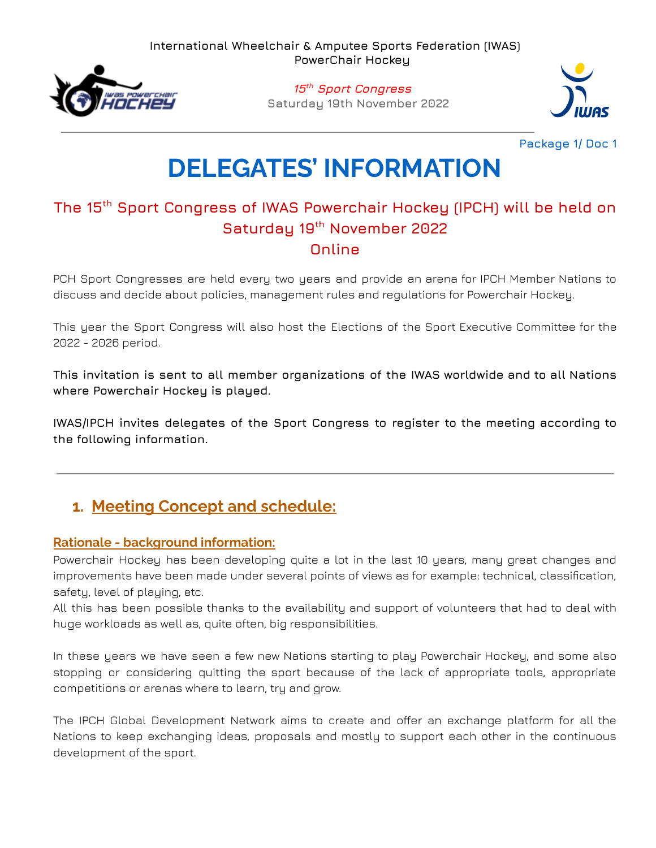

**15 th Sport Congress Saturday 19th November 2022**



**Package 1/ Doc 1**

# **DELEGATES' INFORMATION**

# **The 15 th Sport Congress of IWAS Powerchair Hockey (IPCH) will be held on Saturday 19 th November 2022 Online**

PCH Sport Congresses are held every two years and provide an arena for IPCH Member Nations to discuss and decide about policies, management rules and regulations for Powerchair Hockey.

This year the Sport Congress will also host the Elections of the Sport Executive Committee for the 2022 - 2026 period.

**This invitation is sent to all member organizations of the IWAS worldwide and to all Nations where Powerchair Hockey is played.**

**IWAS/IPCH invites delegates of the Sport Congress to register to the meeting according to the following information.**

# **1. Meeting Concept and schedule:**

### **Rationale - background information:**

Powerchair Hockey has been developing quite a lot in the last 10 years, many great changes and improvements have been made under several points of views as for example: technical, classification, safety, level of playing, etc.

All this has been possible thanks to the availability and support of volunteers that had to deal with huge workloads as well as, quite often, big responsibilities.

In these years we have seen a few new Nations starting to play Powerchair Hockey, and some also stopping or considering quitting the sport because of the lack of appropriate tools, appropriate competitions or arenas where to learn, try and grow.

The IPCH Global Development Network aims to create and offer an exchange platform for all the Nations to keep exchanging ideas, proposals and mostly to support each other in the continuous development of the sport.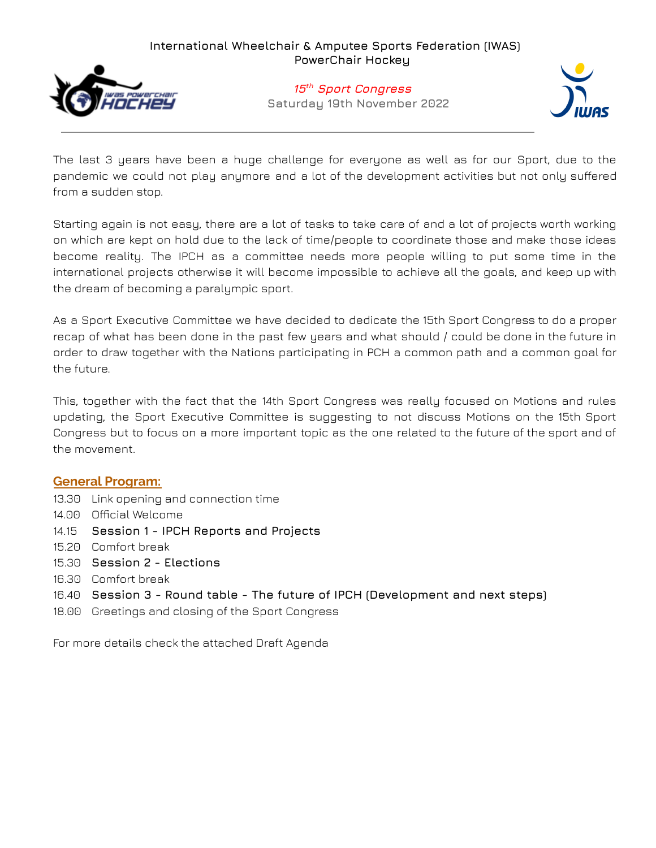

#### **15 th Sport Congress Saturday 19th November 2022**



The last 3 years have been a huge challenge for everyone as well as for our Sport, due to the pandemic we could not play anymore and a lot of the development activities but not only suffered from a sudden stop.

Starting again is not easy, there are a lot of tasks to take care of and a lot of projects worth working on which are kept on hold due to the lack of time/people to coordinate those and make those ideas become reality. The IPCH as a committee needs more people willing to put some time in the international projects otherwise it will become impossible to achieve all the goals, and keep up with the dream of becoming a paralympic sport.

As a Sport Executive Committee we have decided to dedicate the 15th Sport Congress to do a proper recap of what has been done in the past few years and what should / could be done in the future in order to draw together with the Nations participating in PCH a common path and a common goal for the future.

This, together with the fact that the 14th Sport Congress was really focused on Motions and rules updating, the Sport Executive Committee is suggesting to not discuss Motions on the 15th Sport Congress but to focus on a more important topic as the one related to the future of the sport and of the movement.

#### **General Program:**

- 13.30 Link opening and connection time
- 14.00 Official Welcome
- 14.15 **Session 1 - IPCH Reports and Projects**
- 15.20 Comfort break
- 15.30 **Session 2 - Elections**
- 16.30 Comfort break
- 16.40 **Session 3 - Round table - The future of IPCH (Development and next steps)**
- 18.00 Greetings and closing of the Sport Congress

For more details check the attached Draft Agenda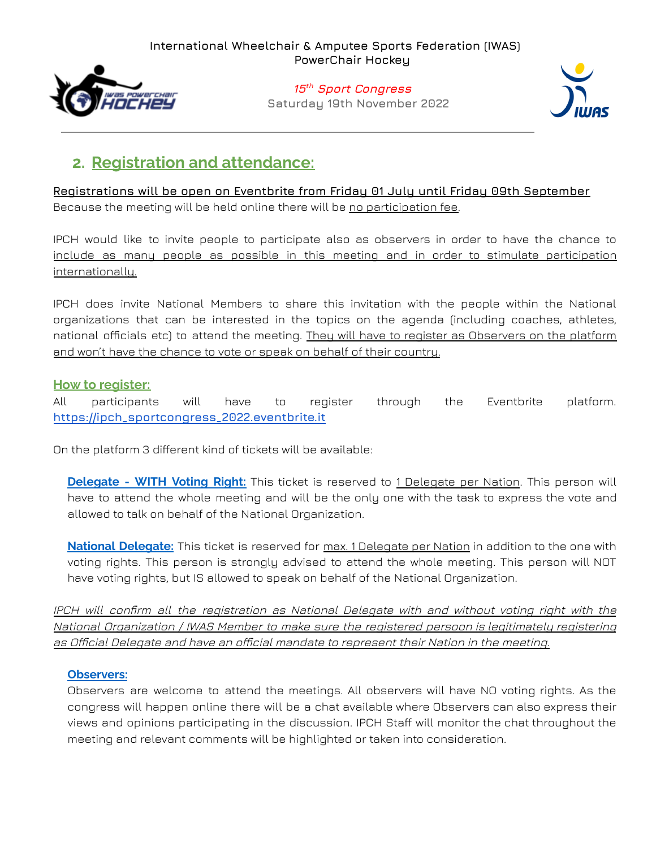

### **15 th Sport Congress Saturday 19th November 2022**



## **2. Registration and attendance:**

**Registrations will be open on Eventbrite from Friday 01 July until Friday 09th September** Because the meeting will be held online there will be no participation fee.

IPCH would like to invite people to participate also as observers in order to have the chance to include as many people as possible in this meeting and in order to stimulate participation internationally.

IPCH does invite National Members to share this invitation with the people within the National organizations that can be interested in the topics on the agenda (including coaches, athletes, national officials etc) to attend the meeting. They will have to register as Observers on the platform and won't have the chance to vote or speak on behalf of their country.

#### **How to register:**

All participants will have to register through the Eventbrite platform. **[https://ipch\\_sportcongress\\_2022.eventbrite.it](https://ipch_sportcongress_2022.eventbrite.it)**

On the platform 3 different kind of tickets will be available:

**Delegate - WITH Voting Right:** This ticket is reserved to 1 Delegate per Nation. This person will have to attend the whole meeting and will be the only one with the task to express the vote and allowed to talk on behalf of the National Organization.

**National Delegate:** This ticket is reserved for max. 1 Delegate per Nation in addition to the one with voting rights. This person is strongly advised to attend the whole meeting. This person will NOT have voting rights, but IS allowed to speak on behalf of the National Organization.

IPCH will confirm all the registration as National Delegate with and without voting right with the National Organization / IWAS Member to make sure the registered persoon is legitimately registering as Official Delegate and have an official mandate to represent their Nation in the meeting.

#### **Observers:**

Observers are welcome to attend the meetings. All observers will have NO voting rights. As the congress will happen online there will be a chat available where Observers can also express their views and opinions participating in the discussion. IPCH Staff will monitor the chat throughout the meeting and relevant comments will be highlighted or taken into consideration.